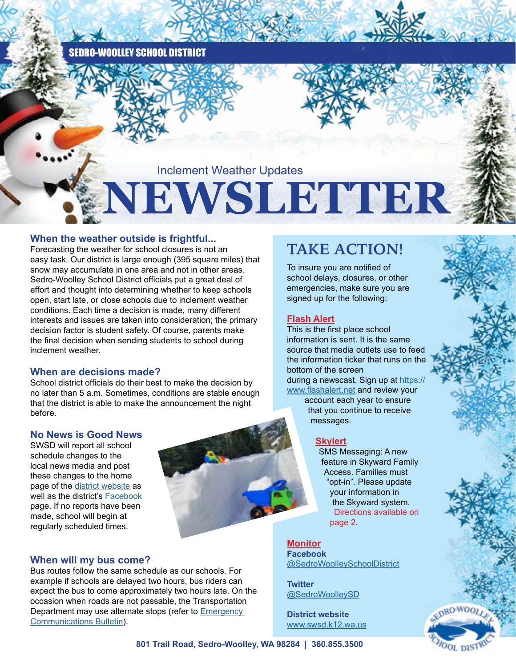SEDRO-WOOLLEY SCHOOL DISTRICT

Inclement Weather Updates

# **NEWSLETTER**

### **When the weather outside is frightful...**

Forecasting the weather for school closures is not an easy task. Our district is large enough (395 square miles) that snow may accumulate in one area and not in other areas. Sedro-Woolley School District officials put a great deal of effort and thought into determining whether to keep schools open, start late, or close schools due to inclement weather conditions. Each time a decision is made, many different interests and issues are taken into consideration; the primary decision factor is student safety. Of course, parents make the final decision when sending students to school during inclement weather.

### **When are decisions made?**

School district officials do their best to make the decision by no later than 5 a.m. Sometimes, conditions are stable enough that the district is able to make the announcement the night before.

### **No News is Good News**

SWSD will report all school schedule changes to the local news media and post these changes to the home page of the [district website](https://www.swsd.k12.wa.us/Page/1) as well as the district's [Facebook](https://www.facebook.com/SedroWoolleySchoolDistrict/) page. If no reports have been made, school will begin at regularly scheduled times.

## **When will my bus come?**

Bus routes follow the same schedule as our schools. For example if schools are delayed two hours, bus riders can expect the bus to come approximately two hours late. On the occasion when roads are not passable, the Transportation Department may use alternate stops (refer to [Emergency](https://www.swsd.k12.wa.us/site/default.aspx?PageType=3&DomainID=1&ModuleInstanceID=1182&ViewID=6446EE88-D30C-497E-9316-3F8874B3E108&RenderLoc=0&FlexDataID=7825&PageID=1)  [Communications Bulletin](https://www.swsd.k12.wa.us/site/default.aspx?PageType=3&DomainID=1&ModuleInstanceID=1182&ViewID=6446EE88-D30C-497E-9316-3F8874B3E108&RenderLoc=0&FlexDataID=7825&PageID=1)).

## **TAKE ACTION!**

To insure you are notified of school delays, closures, or other emergencies, make sure you are signed up for the following:

## **Flash Alert**

This is the first place school information is sent. It is the same source that media outlets use to feed the information ticker that runs on the bottom of the screen during a newscast. Sign up at [https://](https://www.flashalert.net)

[www.flashalert.net](https://www.flashalert.net) and review your account each year to ensure that you continue to receive

## **Skylert**

messages.

SMS Messaging: A new feature in Skyward Family Access. Families must "opt-in". Please update your information in the Skyward system. Directions available on page 2.

**Monitor Facebook** [@SedroWoolleySchoolDistrict](https://www.facebook.com/SedroWoolleySchoolDistrict/)

**Twitter** [@SedroWoolleySD](https://twitter.com/SedroWoolleySD)

**District website**  [www.swsd.k12.wa.us](http://www.swsd.k12.wa.us)